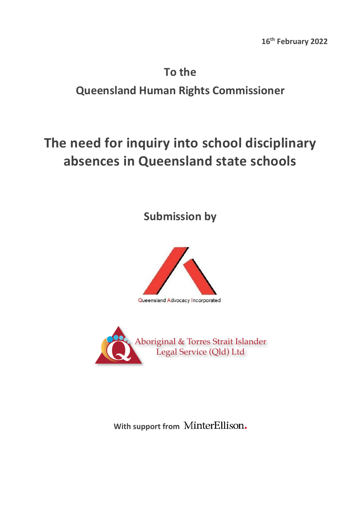# **To the Queensland Human Rights Commissioner**

# **The need for inquiry into school disciplinary absences in Queensland state schools**

**Submission by** 



Aboriginal & Torres Strait Islander<br>Legal Service (Qld) Ltd

**With support from**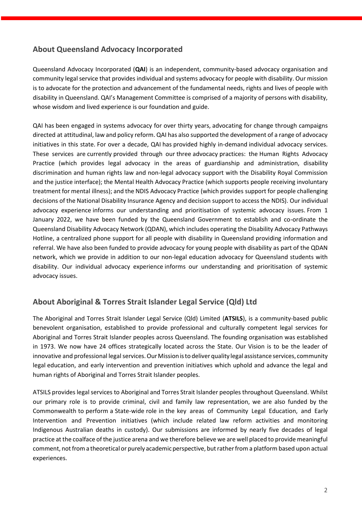# **About Queensland Advocacy Incorporated**

Queensland Advocacy Incorporated (**QAI**) is an independent, community-based advocacy organisation and community legal service that provides individual and systems advocacy for people with disability. Our mission is to advocate for the protection and advancement of the fundamental needs, rights and lives of people with disability in Queensland. QAI's Management Committee is comprised of a majority of persons with disability, whose wisdom and lived experience is our foundation and guide.

QAI has been engaged in systems advocacy for over thirty years, advocating for change through campaigns directed at attitudinal, law and policy reform. QAI has also supported the development of a range of advocacy initiatives in this state. For over a decade, QAI has provided highly in-demand individual advocacy services. These services are currently provided through our three advocacy practices: the Human Rights Advocacy Practice (which provides legal advocacy in the areas of guardianship and administration, disability discrimination and human rights law and non-legal advocacy support with the Disability Royal Commission and the justice interface); the Mental Health Advocacy Practice (which supports people receiving involuntary treatment for mental illness); and the NDIS Advocacy Practice (which provides support for people challenging decisions of the National Disability Insurance Agency and decision support to access the NDIS). Our individual advocacy experience informs our understanding and prioritisation of systemic advocacy issues. From 1 January 2022, we have been funded by the Queensland Government to establish and co-ordinate the Queensland Disability Advocacy Network (QDAN), which includes operating the Disability Advocacy Pathways Hotline, a centralized phone support for all people with disability in Queensland providing information and referral. We have also been funded to provide advocacy for young people with disability as part of the QDAN network, which we provide in addition to our non-legal education advocacy for Queensland students with disability. Our individual advocacy experience informs our understanding and prioritisation of systemic advocacy issues. 

# **About Aboriginal & Torres Strait Islander Legal Service (Qld) Ltd**

The Aboriginal and Torres Strait Islander Legal Service (Qld) Limited (**ATSILS**), is a community-based public benevolent organisation, established to provide professional and culturally competent legal services for Aboriginal and Torres Strait Islander peoples across Queensland. The founding organisation was established in 1973. We now have 24 offices strategically located across the State. Our Vision is to be the leader of innovative and professional legal services. Our Mission is to deliver quality legal assistance services, community legal education, and early intervention and prevention initiatives which uphold and advance the legal and human rights of Aboriginal and Torres Strait Islander peoples.

ATSILS provides legalservices to Aboriginal and Torres Strait Islander peoples throughout Queensland. Whilst our primary role is to provide criminal, civil and family law representation, we are also funded by the Commonwealth to perform a State-wide role in the key areas of Community Legal Education, and Early Intervention and Prevention initiatives (which include related law reform activities and monitoring Indigenous Australian deaths in custody). Our submissions are informed by nearly five decades of legal practice at the coalface of the justice arena and we therefore believe we are well placed to provide meaningful comment, not from a theoretical or purely academic perspective, but rather from a platform based upon actual experiences.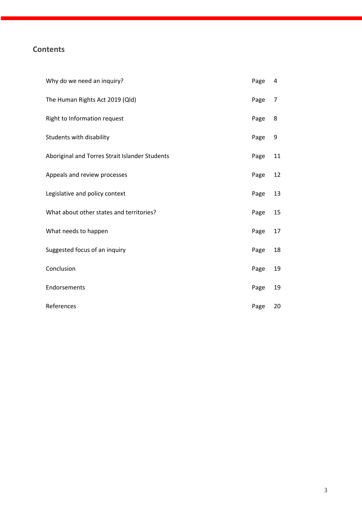# **Contents**

| Why do we need an inquiry?                     | Page | 4  |
|------------------------------------------------|------|----|
| The Human Rights Act 2019 (Qld)                | Page | 7  |
| Right to Information request                   | Page | 8  |
| Students with disability                       | Page | 9  |
| Aboriginal and Torres Strait Islander Students | Page | 11 |
| Appeals and review processes                   | Page | 12 |
| Legislative and policy context                 | Page | 13 |
| What about other states and territories?       | Page | 15 |
| What needs to happen                           | Page | 17 |
| Suggested focus of an inquiry                  | Page | 18 |
| Conclusion                                     | Page | 19 |
| Endorsements                                   | Page | 19 |
| References                                     | Page | 20 |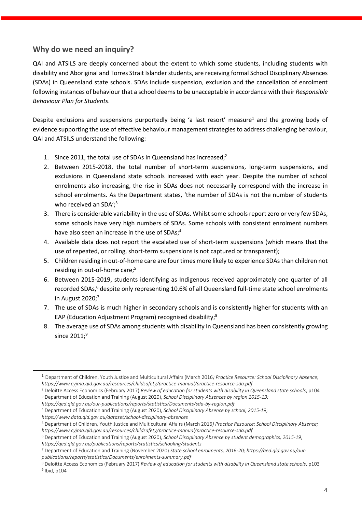## **Why do we need an inquiry?**

QAI and ATSILS are deeply concerned about the extent to which some students, including students with disability and Aboriginal and Torres Strait Islander students, are receiving formal School Disciplinary Absences (SDAs) in Queensland state schools. SDAs include suspension, exclusion and the cancellation of enrolment following instances of behaviour that a school deems to be unacceptable in accordance with their *Responsible Behaviour Plan for Students*.

Despite exclusions and suspensions purportedly being 'a last resort' measure<sup>1</sup> and the growing body of evidence supporting the use of effective behaviour management strategies to address challenging behaviour, QAI and ATSILS understand the following:

- 1. Since 2011, the total use of SDAs in Queensland has increased;<sup>2</sup>
- 2. Between 2015-2018, the total number of short-term suspensions, long-term suspensions, and exclusions in Queensland state schools increased with each year. Despite the number of school enrolments also increasing, the rise in SDAs does not necessarily correspond with the increase in school enrolments. As the Department states, 'the number of SDAs is not the number of students who received an SDA'; 3
- 3. There is considerable variability in the use of SDAs. Whilst some schools report zero or very few SDAs, some schools have very high numbers of SDAs. Some schools with consistent enrolment numbers have also seen an increase in the use of SDAs;<sup>4</sup>
- 4. Available data does not report the escalated use of short-term suspensions (which means that the use of repeated, or rolling, short-term suspensions is not captured or transparent);
- 5. Children residing in out-of-home care are four times more likely to experience SDAs than children not residing in out-of-home care;<sup>5</sup>
- 6. Between 2015-2019, students identifying as Indigenous received approximately one quarter of all recorded SDAs,<sup>6</sup> despite only representing 10.6% of all Queensland full-time state school enrolments in August  $2020$ ;<sup>7</sup>
- 7. The use of SDAs is much higher in secondary schools and is consistently higher for students with an EAP (Education Adjustment Program) recognised disability;<sup>8</sup>
- 8. The average use of SDAs among students with disability in Queensland has been consistently growing since  $2011;°$

<sup>4</sup> Department of Education and Training (August 2020), *School Disciplinary Absence by school, 2015-19*;

<sup>1</sup> Department of Children, Youth Justice and Multicultural Affairs (March 2016*) Practice Resource: School Disciplinary Absence; https://www.cyjma.qld.gov.au/resources/childsafety/practice-manual/practice-resource-sda.pdf*

<sup>2</sup> Deloitte Access Economics (February 2017) *Review of education for students with disability in Queensland state schools*, p104

<sup>3</sup> Department of Education and Training (August 2020), *School Disciplinary Absences by region 2015-19;* 

*https://qed.qld.gov.au/our-publications/reports/statistics/Documents/sda-by-region.pdf*

*https://www.data.qld.gov.au/dataset/school-disciplinary-absences*

<sup>5</sup> Department of Children, Youth Justice and Multicultural Affairs (March 2016*) Practice Resource: School Disciplinary Absence; https://www.cyjma.qld.gov.au/resources/childsafety/practice-manual/practice-resource-sda.pdf*

<sup>6</sup> Department of Education and Training (August 2020), *School Disciplinary Absence by student demographics, 2015-19*,

*https://qed.qld.gov.au/publications/reports/statistics/schooling/students*

<sup>7</sup> Department of Education and Training (November 2020) *State school enrolments, 2016-20; https://qed.qld.gov.au/ourpublications/reports/statistics/Documents/enrolments-summary.pdf*

<sup>8</sup> Deloitte Access Economics (February 2017) *Review of education for students with disability in Queensland state schools*, p103 9 Ibid, p104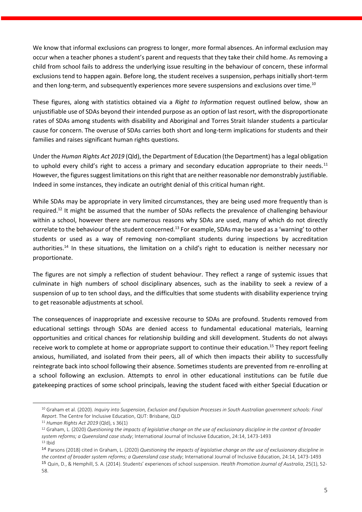We know that informal exclusions can progress to longer, more formal absences. An informal exclusion may occur when a teacher phones a student's parent and requests that they take their child home. As removing a child from school fails to address the underlying issue resulting in the behaviour of concern, these informal exclusions tend to happen again. Before long, the student receives a suspension, perhaps initially short-term and then long-term, and subsequently experiences more severe suspensions and exclusions over time.<sup>10</sup>

These figures, along with statistics obtained via a *Right to Information* request outlined below, show an unjustifiable use of SDAs beyond their intended purpose as an option of last resort, with the disproportionate rates of SDAs among students with disability and Aboriginal and Torres Strait Islander students a particular cause for concern. The overuse of SDAs carries both short and long-term implications for students and their families and raises significant human rights questions.

Under the *Human Rights Act 2019* (Qld), the Department of Education (the Department) has a legal obligation to uphold every child's right to access a primary and secondary education appropriate to their needs.<sup>11</sup> However, the figures suggest limitations on this right that are neither reasonable nor demonstrably justifiable. Indeed in some instances, they indicate an outright denial of this critical human right.

While SDAs may be appropriate in very limited circumstances, they are being used more frequently than is required.<sup>12</sup> It might be assumed that the number of SDAs reflects the prevalence of challenging behaviour within a school, however there are numerous reasons why SDAs are used, many of which do not directly correlate to the behaviour of the student concerned.<sup>13</sup> For example, SDAs may be used as a 'warning' to other students or used as a way of removing non-compliant students during inspections by accreditation authorities.<sup>14</sup> In these situations, the limitation on a child's right to education is neither necessary nor proportionate.

The figures are not simply a reflection of student behaviour. They reflect a range of systemic issues that culminate in high numbers of school disciplinary absences, such as the inability to seek a review of a suspension of up to ten school days, and the difficulties that some students with disability experience trying to get reasonable adjustments at school.

The consequences of inappropriate and excessive recourse to SDAs are profound. Students removed from educational settings through SDAs are denied access to fundamental educational materials, learning opportunities and critical chances for relationship building and skill development. Students do not always receive work to complete at home or appropriate support to continue their education.<sup>15</sup> They report feeling anxious, humiliated, and isolated from their peers, all of which then impacts their ability to successfully reintegrate back into school following their absence. Sometimes students are prevented from re-enrolling at a school following an exclusion. Attempts to enrol in other educational institutions can be futile due gatekeeping practices of some school principals, leaving the student faced with either Special Education or

<sup>10</sup> Graham et al. (2020). *Inquiry into Suspension, Exclusion and Expulsion Processes in South Australian government schools: Final Report*. The Centre for Inclusive Education, QUT: Brisbane, QLD

<sup>11</sup> *Human Rights Act 2019* (Qld), s 36(1)

<sup>12</sup> Graham, L. (2020) *Questioning the impacts of legislative change on the use of exclusionary discipline in the context of broader system reforms; a Queensland case study*; International Journal of Inclusive Education, 24:14, 1473-1493

 $13$  Ibid

<sup>14</sup> Parsons (2018) cited in Graham, L. (2020) *Questioning the impacts of legislative change on the use of exclusionary discipline in the context of broader system reforms; a Queensland case study*; International Journal of Inclusive Education, 24:14, 1473-1493 <sup>15</sup> Quin, D., & Hemphill, S. A. (2014). Students' experiences of school suspension. *Health Promotion Journal of Australia*, 25(1), 52-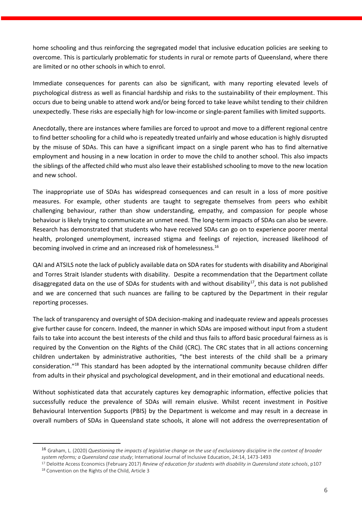home schooling and thus reinforcing the segregated model that inclusive education policies are seeking to overcome. This is particularly problematic for students in rural or remote parts of Queensland, where there are limited or no other schools in which to enrol.

Immediate consequences for parents can also be significant, with many reporting elevated levels of psychological distress as well as financial hardship and risks to the sustainability of their employment. This occurs due to being unable to attend work and/or being forced to take leave whilst tending to their children unexpectedly. These risks are especially high for low-income or single-parent families with limited supports.

Anecdotally, there are instances where families are forced to uproot and move to a different regional centre to find better schooling for a child who is repeatedly treated unfairly and whose education is highly disrupted by the misuse of SDAs. This can have a significant impact on a single parent who has to find alternative employment and housing in a new location in order to move the child to another school. This also impacts the siblings of the affected child who must also leave their established schooling to move to the new location and new school.

The inappropriate use of SDAs has widespread consequences and can result in a loss of more positive measures. For example, other students are taught to segregate themselves from peers who exhibit challenging behaviour, rather than show understanding, empathy, and compassion for people whose behaviour is likely trying to communicate an unmet need. The long-term impacts of SDAs can also be severe. Research has demonstrated that students who have received SDAs can go on to experience poorer mental health, prolonged unemployment, increased stigma and feelings of rejection, increased likelihood of becoming involved in crime and an increased risk of homelessness.<sup>16</sup>

QAI and ATSILS note the lack of publicly available data on SDA rates for students with disability and Aboriginal and Torres Strait Islander students with disability. Despite a recommendation that the Department collate disaggregated data on the use of SDAs for students with and without disability<sup>17</sup>, this data is not published and we are concerned that such nuances are failing to be captured by the Department in their regular reporting processes.

The lack of transparency and oversight of SDA decision-making and inadequate review and appeals processes give further cause for concern. Indeed, the manner in which SDAs are imposed without input from a student fails to take into account the best interests of the child and thus fails to afford basic procedural fairness as is required by the Convention on the Rights of the Child (CRC). The CRC states that in all actions concerning children undertaken by administrative authorities, "the best interests of the child shall be a primary consideration."<sup>18</sup> This standard has been adopted by the international community because children differ from adults in their physical and psychological development, and in their emotional and educational needs.

Without sophisticated data that accurately captures key demographic information, effective policies that successfully reduce the prevalence of SDAs will remain elusive. Whilst recent investment in Positive Behavioural Intervention Supports (PBIS) by the Department is welcome and may result in a decrease in overall numbers of SDAs in Queensland state schools, it alone will not address the overrepresentation of

<sup>16</sup> Graham, L. (2020) *Questioning the impacts of legislative change on the use of exclusionary discipline in the context of broader system reforms; a Queensland case study*; International Journal of Inclusive Education, 24:14, 1473-1493

<sup>17</sup> Deloitte Access Economics (February 2017) *Review of education for students with disability in Queensland state schools*, p107 18 Convention on the Rights of the Child, Article 3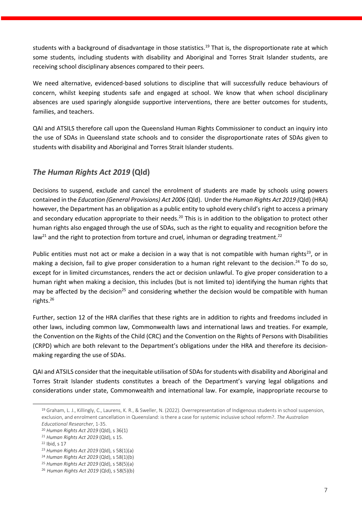students with a background of disadvantage in those statistics.<sup>19</sup> That is, the disproportionate rate at which some students, including students with disability and Aboriginal and Torres Strait Islander students, are receiving school disciplinary absences compared to their peers.

We need alternative, evidenced-based solutions to discipline that will successfully reduce behaviours of concern, whilst keeping students safe and engaged at school. We know that when school disciplinary absences are used sparingly alongside supportive interventions, there are better outcomes for students, families, and teachers.

QAI and ATSILS therefore call upon the Queensland Human Rights Commissioner to conduct an inquiry into the use of SDAs in Queensland state schools and to consider the disproportionate rates of SDAs given to students with disability and Aboriginal and Torres Strait Islander students.

# *The Human Rights Act 2019* **(Qld)**

Decisions to suspend, exclude and cancel the enrolment of students are made by schools using powers contained in the *Education (General Provisions) Act 2006* (Qld). Under the *Human Rights Act 2019 (*Qld) (HRA) however, the Department has an obligation as a public entity to uphold every child's right to access a primary and secondary education appropriate to their needs.<sup>20</sup> This is in addition to the obligation to protect other human rights also engaged through the use of SDAs, such as the right to equality and recognition before the law<sup>21</sup> and the right to protection from torture and cruel, inhuman or degrading treatment.<sup>22</sup>

Public entities must not act or make a decision in a way that is not compatible with human rights<sup>23</sup>, or in making a decision, fail to give proper consideration to a human right relevant to the decision.<sup>24</sup> To do so, except for in limited circumstances, renders the act or decision unlawful. To give proper consideration to a human right when making a decision, this includes (but is not limited to) identifying the human rights that may be affected by the decision<sup>25</sup> and considering whether the decision would be compatible with human rights.<sup>26</sup>

Further, section 12 of the HRA clarifies that these rights are in addition to rights and freedoms included in other laws, including common law, Commonwealth laws and international laws and treaties. For example, the Convention on the Rights of the Child (CRC) and the Convention on the Rights of Persons with Disabilities (CRPD) which are both relevant to the Department's obligations under the HRA and therefore its decisionmaking regarding the use of SDAs.

QAI and ATSILS consider that the inequitable utilisation of SDAs for students with disability and Aboriginal and Torres Strait Islander students constitutes a breach of the Department's varying legal obligations and considerations under state, Commonwealth and international law. For example, inappropriate recourse to

<sup>19</sup> Graham, L. J., Killingly, C., Laurens, K. R., & Sweller, N. (2022). Overrepresentation of Indigenous students in school suspension, exclusion, and enrolment cancellation in Queensland: is there a case for systemic inclusive school reform?. *The Australian Educational Researcher*, 1-35.

<sup>20</sup> *Human Rights Act 2019* (Qld), s 36(1)

<sup>21</sup> *Human Rights Act 2019* (Qld), s 15.

<sup>22</sup> Ibid, s 17

<sup>23</sup> *Human Rights Act 2019* (Qld), s 58(1)(a)

<sup>24</sup> *Human Rights Act 2019* (Qld), s 58(1)(b)

<sup>25</sup> *Human Rights Act 2019* (Qld), s 58(5)(a)

<sup>26</sup> *Human Rights Act 2019* (Qld), s 58(5)(b)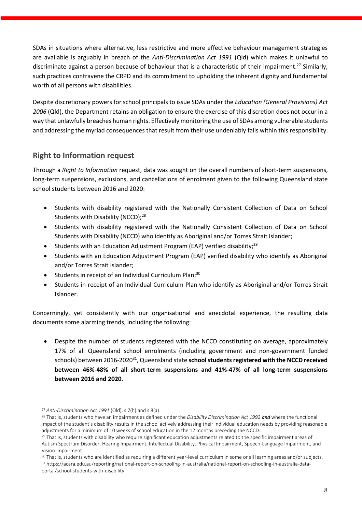SDAs in situations where alternative, less restrictive and more effective behaviour management strategies are available is arguably in breach of the *Anti-Discrimination Act 1991* (Qld) which makes it unlawful to discriminate against a person because of behaviour that is a characteristic of their impairment.<sup>27</sup> Similarly, such practices contravene the CRPD and its commitment to upholding the inherent dignity and fundamental worth of all persons with disabilities.

Despite discretionary powers for school principals to issue SDAs under the *Education (General Provisions) Act 2006* (Qld), the Department retains an obligation to ensure the exercise of this discretion does not occur in a way that unlawfully breaches human rights. Effectively monitoring the use of SDAs among vulnerable students and addressing the myriad consequences that result from their use undeniably falls within this responsibility.

## **Right to Information request**

Through a *Right to Information* request, data was sought on the overall numbers of short-term suspensions, long-term suspensions, exclusions, and cancellations of enrolment given to the following Queensland state school students between 2016 and 2020:

- Students with disability registered with the Nationally Consistent Collection of Data on School Students with Disability (NCCD);<sup>28</sup>
- Students with disability registered with the Nationally Consistent Collection of Data on School Students with Disability (NCCD) who identify as Aboriginal and/or Torres Strait Islander;
- Students with an Education Adjustment Program (EAP) verified disability;<sup>29</sup>
- Students with an Education Adjustment Program (EAP) verified disability who identify as Aboriginal and/or Torres Strait Islander;
- Students in receipt of an Individual Curriculum Plan;<sup>30</sup>
- Students in receipt of an Individual Curriculum Plan who identify as Aboriginal and/or Torres Strait Islander.

Concerningly, yet consistently with our organisational and anecdotal experience, the resulting data documents some alarming trends, including the following:

• Despite the number of students registered with the NCCD constituting on average, approximately 17% of all Queensland school enrolments (including government and non-government funded schools) between 2016-2020<sup>31</sup>, Queensland state **school students registered with the NCCD received between 46%-48% of all short-term suspensions and 41%-47% of all long-term suspensions between 2016 and 2020**.

<sup>27</sup> *Anti-Discrimination Act 1991* (Qld), s 7(h) and s 8(a)

<sup>28</sup> That is, students who have an impairment as defined under the *Disability Discrimination Act 1992 and* where the functional impact of the student's disability results in the school actively addressing their individual education needs by providing reasonable adjustments for a minimum of 10 weeks of school education in the 12 months preceding the NCCD.

<sup>&</sup>lt;sup>29</sup> That is, students with disability who require significant education adjustments related to the specific impairment areas of Autism Spectrum Disorder, Hearing Impairment, Intellectual Disability, Physical Impairment, Speech-Language Impairment, and Vision Impairment.

<sup>&</sup>lt;sup>30</sup> That is, students who are identified as requiring a different year-level curriculum in some or all learning areas and/or subjects.

<sup>31</sup> https://acara.edu.au/reporting/national-report-on-schooling-in-australia/national-report-on-schooling-in-australia-dataportal/school-students-with-disability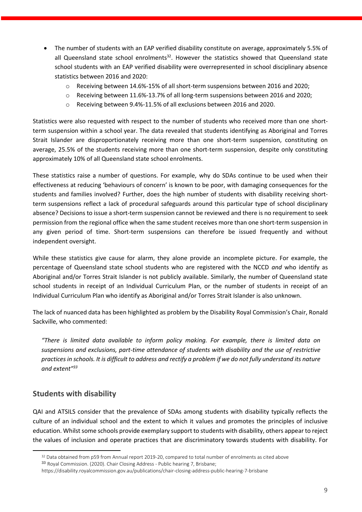- The number of students with an EAP verified disability constitute on average, approximately 5.5% of all Queensland state school enrolments $^{32}$ . However the statistics showed that Queensland state school students with an EAP verified disability were overrepresented in school disciplinary absence statistics between 2016 and 2020:
	- o Receiving between 14.6%-15% of all short-term suspensions between 2016 and 2020;
	- o Receiving between 11.6%-13.7% of all long-term suspensions between 2016 and 2020;
	- o Receiving between 9.4%-11.5% of all exclusions between 2016 and 2020.

Statistics were also requested with respect to the number of students who received more than one shortterm suspension within a school year. The data revealed that students identifying as Aboriginal and Torres Strait Islander are disproportionately receiving more than one short-term suspension, constituting on average, 25.5% of the students receiving more than one short-term suspension, despite only constituting approximately 10% of all Queensland state school enrolments.

These statistics raise a number of questions. For example, why do SDAs continue to be used when their effectiveness at reducing 'behaviours of concern' is known to be poor, with damaging consequences for the students and families involved? Further, does the high number of students with disability receiving shortterm suspensions reflect a lack of procedural safeguards around this particular type of school disciplinary absence? Decisions to issue a short-term suspension cannot be reviewed and there is no requirement to seek permission from the regional office when the same student receives more than one short-term suspension in any given period of time. Short-term suspensions can therefore be issued frequently and without independent oversight.

While these statistics give cause for alarm, they alone provide an incomplete picture. For example, the percentage of Queensland state school students who are registered with the NCCD *and* who identify as Aboriginal and/or Torres Strait Islander is not publicly available. Similarly, the number of Queensland state school students in receipt of an Individual Curriculum Plan, or the number of students in receipt of an Individual Curriculum Plan who identify as Aboriginal and/or Torres Strait Islander is also unknown.

The lack of nuanced data has been highlighted as problem by the Disability Royal Commission's Chair, Ronald Sackville, who commented:

*"There is limited data available to inform policy making. For example, there is limited data on suspensions and exclusions, part-time attendance of students with disability and the use of restrictive practices in schools. It is difficult to address and rectify a problem if we do not fully understand its nature and extent"<sup>33</sup>*

## **Students with disability**

QAI and ATSILS consider that the prevalence of SDAs among students with disability typically reflects the culture of an individual school and the extent to which it values and promotes the principles of inclusive education. Whilst some schools provide exemplary support to students with disability, others appear to reject the values of inclusion and operate practices that are discriminatory towards students with disability. For

<sup>&</sup>lt;sup>32</sup> Data obtained from p59 from Annual report 2019-20, compared to total number of enrolments as cited above

<sup>33</sup> Royal Commission. (2020). Chair Closing Address - Public hearing 7, Brisbane;

https://disability.royalcommission.gov.au/publications/chair-closing-address-public-hearing-7-brisbane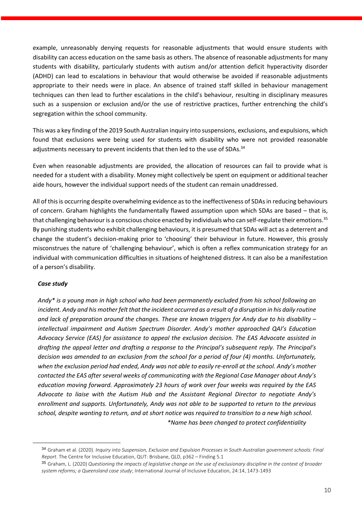example, unreasonably denying requests for reasonable adjustments that would ensure students with disability can access education on the same basis as others. The absence of reasonable adjustments for many students with disability, particularly students with autism and/or attention deficit hyperactivity disorder (ADHD) can lead to escalations in behaviour that would otherwise be avoided if reasonable adjustments appropriate to their needs were in place. An absence of trained staff skilled in behaviour management techniques can then lead to further escalations in the child's behaviour, resulting in disciplinary measures such as a suspension or exclusion and/or the use of restrictive practices, further entrenching the child's segregation within the school community.

This was a key finding of the 2019 South Australian inquiry into suspensions, exclusions, and expulsions, which found that exclusions were being used for students with disability who were not provided reasonable adjustments necessary to prevent incidents that then led to the use of SDAs. $^{34}$ 

Even when reasonable adjustments are provided, the allocation of resources can fail to provide what is needed for a student with a disability. Money might collectively be spent on equipment or additional teacher aide hours, however the individual support needs of the student can remain unaddressed.

All of this is occurring despite overwhelming evidence as to the ineffectiveness of SDAs in reducing behaviours of concern. Graham highlights the fundamentally flawed assumption upon which SDAs are based – that is, that challenging behaviour is a conscious choice enacted by individuals who can self-regulate their emotions.<sup>35</sup> By punishing students who exhibit challenging behaviours, it is presumed that SDAs will act as a deterrent and change the student's decision-making prior to 'choosing' their behaviour in future. However, this grossly misconstrues the nature of 'challenging behaviour', which is often a reflex communication strategy for an individual with communication difficulties in situations of heightened distress. It can also be a manifestation of a person's disability.

#### *Case study*

*Andy\* is a young man in high school who had been permanently excluded from his school following an incident. Andy and his mother felt that the incident occurred as a result of a disruption in his daily routine and lack of preparation around the changes. These are known triggers for Andy due to his disability – intellectual impairment and Autism Spectrum Disorder. Andy's mother approached QAI's Education Advocacy Service (EAS) for assistance to appeal the exclusion decision. The EAS Advocate assisted in drafting the appeal letter and drafting a response to the Principal's subsequent reply. The Principal's decision was amended to an exclusion from the school for a period of four (4) months. Unfortunately, when the exclusion period had ended, Andy was not able to easily re-enroll at the school. Andy's mother contacted the EAS after several weeks of communicating with the Regional Case Manager about Andy's education moving forward. Approximately 23 hours of work over four weeks was required by the EAS Advocate to liaise with the Autism Hub and the Assistant Regional Director to negotiate Andy's enrollment and supports. Unfortunately, Andy was not able to be supported to return to the previous school, despite wanting to return, and at short notice was required to transition to a new high school. \*Name has been changed to protect confidentiality*

<sup>34</sup> Graham et al. (2020). *Inquiry into Suspension, Exclusion and Expulsion Processes in South Australian government schools: Final Report*. The Centre for Inclusive Education, QUT: Brisbane, QLD, p362 – Finding 5.1

<sup>35</sup> Graham, L. (2020) *Questioning the impacts of legislative change on the use of exclusionary discipline in the context of broader system reforms; a Queensland case study*; International Journal of Inclusive Education, 24:14, 1473-1493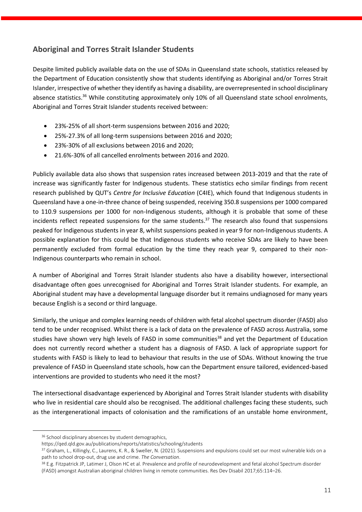# **Aboriginal and Torres Strait Islander Students**

Despite limited publicly available data on the use of SDAs in Queensland state schools, statistics released by the Department of Education consistently show that students identifying as Aboriginal and/or Torres Strait Islander, irrespective of whether they identify as having a disability, are overrepresented in school disciplinary absence statistics.<sup>36</sup> While constituting approximately only 10% of all Queensland state school enrolments, Aboriginal and Torres Strait Islander students received between:

- 23%-25% of all short-term suspensions between 2016 and 2020;
- 25%-27.3% of all long-term suspensions between 2016 and 2020;
- 23%-30% of all exclusions between 2016 and 2020;
- 21.6%-30% of all cancelled enrolments between 2016 and 2020.

Publicly available data also shows that suspension rates increased between 2013-2019 and that the rate of increase was significantly faster for Indigenous students. These statistics echo similar findings from recent research published by QUT's *Centre for Inclusive Education* (C4IE), which found that Indigenous students in Queensland have a one-in-three chance of being suspended, receiving 350.8 suspensions per 1000 compared to 110.9 suspensions per 1000 for non-Indigenous students, although it is probable that some of these incidents reflect repeated suspensions for the same students. <sup>37</sup> The research also found that suspensions peaked for Indigenous students in year 8, whilst suspensions peaked in year 9 for non-Indigenous students. A possible explanation for this could be that Indigenous students who receive SDAs are likely to have been permanently excluded from formal education by the time they reach year 9, compared to their non-Indigenous counterparts who remain in school.

A number of Aboriginal and Torres Strait Islander students also have a disability however, intersectional disadvantage often goes unrecognised for Aboriginal and Torres Strait Islander students. For example, an Aboriginal student may have a developmental language disorder but it remains undiagnosed for many years because English is a second or third language.

Similarly, the unique and complex learning needs of children with fetal alcohol spectrum disorder (FASD) also tend to be under recognised. Whilst there is a lack of data on the prevalence of FASD across Australia, some studies have shown very high levels of FASD in some communities<sup>38</sup> and yet the Department of Education does not currently record whether a student has a diagnosis of FASD. A lack of appropriate support for students with FASD is likely to lead to behaviour that results in the use of SDAs. Without knowing the true prevalence of FASD in Queensland state schools, how can the Department ensure tailored, evidenced-based interventions are provided to students who need it the most?

The intersectional disadvantage experienced by Aboriginal and Torres Strait Islander students with disability who live in residential care should also be recognised. The additional challenges facing these students, such as the intergenerational impacts of colonisation and the ramifications of an unstable home environment,

<sup>36</sup> School disciplinary absences by student demographics,

https://qed.qld.gov.au/publications/reports/statistics/schooling/students

<sup>37</sup> Graham, L., Killingly, C., Laurens, K. R., & Sweller, N. (2021). Suspensions and expulsions could set our most vulnerable kids on a path to school drop-out, drug use and crime. *The Conversation*.

<sup>38</sup> E.g. Fitzpatrick JP, Latimer J, Olson HC et al. Prevalence and profile of neurodevelopment and fetal alcohol Spectrum disorder (FASD) amongst Australian aboriginal children living in remote communities. Res Dev Disabil 2017;65:114–26.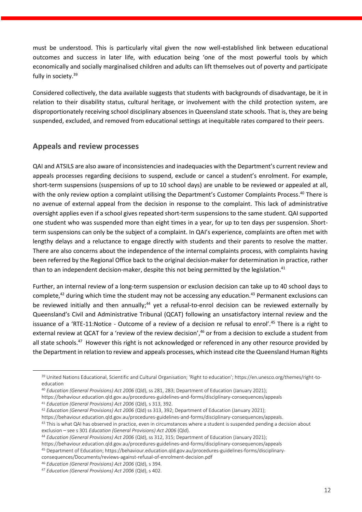must be understood. This is particularly vital given the now well-established link between educational outcomes and success in later life, with education being 'one of the most powerful tools by which economically and socially marginalised children and adults can lift themselves out of poverty and participate fully in society.<sup>39</sup>

Considered collectively, the data available suggests that students with backgrounds of disadvantage, be it in relation to their disability status, cultural heritage, or involvement with the child protection system, are disproportionately receiving school disciplinary absences in Queensland state schools. That is, they are being suspended, excluded, and removed from educational settings at inequitable rates compared to their peers.

### **Appeals and review processes**

QAI and ATSILS are also aware of inconsistencies and inadequacies with the Department's current review and appeals processes regarding decisions to suspend, exclude or cancel a student's enrolment. For example, short-term suspensions (suspensions of up to 10 school days) are unable to be reviewed or appealed at all, with the only review option a complaint utilising the Department's Customer Complaints Process.<sup>40</sup> There is no avenue of external appeal from the decision in response to the complaint. This lack of administrative oversight applies even if a school gives repeated short-term suspensions to the same student. QAI supported one student who was suspended more than eight times in a year, for up to ten days per suspension. Shortterm suspensions can only be the subject of a complaint. In QAI's experience, complaints are often met with lengthy delays and a reluctance to engage directly with students and their parents to resolve the matter. There are also concerns about the independence of the internal complaints process, with complaints having been referred by the Regional Office back to the original decision-maker for determination in practice, rather than to an independent decision-maker, despite this not being permitted by the legislation.<sup>41</sup>

Further, an internal review of a long-term suspension or exclusion decision can take up to 40 school days to complete,<sup>42</sup> during which time the student may not be accessing any education.<sup>43</sup> Permanent exclusions can be reviewed initially and then annually;<sup>44</sup> yet a refusal-to-enrol decision can be reviewed externally by Queensland's Civil and Administrative Tribunal (QCAT) following an unsatisfactory internal review and the issuance of a 'RTE-11:Notice - Outcome of a review of a decision re refusal to enrol'.<sup>45</sup> There is a right to external review at QCAT for a 'review of the review decision', <sup>46</sup> or from a decision to exclude a student from all state schools.<sup>47</sup> However this right is not acknowledged or referenced in any other resource provided by the Department in relation to review and appeals processes, which instead cite the Queensland Human Rights

<sup>39</sup> United Nations Educational, Scientific and Cultural Organisation; 'Right to education'; https://en.unesco.org/themes/right-toeducation

<sup>40</sup> *Education (General Provisions) Act 2006* (Qld), ss 281, 283; Department of Education (January 2021);

https://behaviour.education.qld.gov.au/procedures-guidelines-and-forms/disciplinary-consequences/appeals <sup>41</sup> *Education (General Provisions) Act 2006* (Qld), s 313, 392.

<sup>42</sup> *Education (General Provisions) Act 2006* (Qld) ss 313, 392; Department of Education (January 2021);

https://behaviour.education.qld.gov.au/procedures-guidelines-and-forms/disciplinary-consequences/appeals.

<sup>43</sup> This is what QAI has observed in practice, even in circumstances where a student is suspended pending a decision about exclusion – see s 301 *Education (General Provisions) Act 2006* (Qld).

<sup>44</sup> *Education (General Provisions) Act 2006* (Qld), ss 312, 315; Department of Education (January 2021);

https://behaviour.education.qld.gov.au/procedures-guidelines-and-forms/disciplinary-consequences/appeals

<sup>45</sup> Department of Education; https://behaviour.education.qld.gov.au/procedures-guidelines-forms/disciplinary-

consequences/Documents/reviews-against-refusal-of-enrolment-decision.pdf

<sup>46</sup> *Education (General Provisions) Act 2006* (Qld), s 394.

<sup>47</sup> *Education (General Provisions) Act 2006* (Qld), s 402.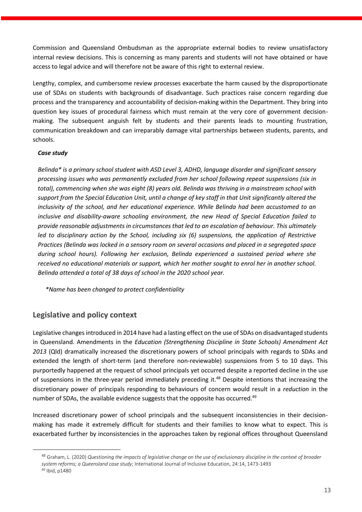Commission and Queensland Ombudsman as the appropriate external bodies to review unsatisfactory internal review decisions. This is concerning as many parents and students will not have obtained or have access to legal advice and will therefore not be aware of this right to external review.

Lengthy, complex, and cumbersome review processes exacerbate the harm caused by the disproportionate use of SDAs on students with backgrounds of disadvantage. Such practices raise concern regarding due process and the transparency and accountability of decision-making within the Department. They bring into question key issues of procedural fairness which must remain at the very core of government decisionmaking. The subsequent anguish felt by students and their parents leads to mounting frustration, communication breakdown and can irreparably damage vital partnerships between students, parents, and schools.

#### *Case study*

*Belinda\* is a primary school student with ASD Level 3, ADHD, language disorder and significant sensory processing issues who was permanently excluded from her school following repeat suspensions (six in total), commencing when she was eight (8) years old. Belinda was thriving in a mainstream school with support from the Special Education Unit, until a change of key staff in that Unit significantly altered the inclusivity of the school, and her educational experience. While Belinda had been accustomed to an inclusive and disability-aware schooling environment, the new Head of Special Education failed to provide reasonable adjustments in circumstances that led to an escalation of behaviour. This ultimately led to disciplinary action by the School, including six (6) suspensions, the application of Restrictive Practices (Belinda was locked in a sensory room on several occasions and placed in a segregated space during school hours). Following her exclusion, Belinda experienced a sustained period where she received no educational materials or support, which her mother sought to enrol her in another school. Belinda attended a total of 38 days of school in the 2020 school year.*

 *\*Name has been changed to protect confidentiality* 

## **Legislative and policy context**

Legislative changes introduced in 2014 have had a lasting effect on the use of SDAs on disadvantaged students in Queensland. Amendments in the *Education (Strengthening Discipline in State Schools) Amendment Act 2013* (Qld) dramatically increased the discretionary powers of school principals with regards to SDAs and extended the length of short-term (and therefore non-reviewable) suspensions from 5 to 10 days. This purportedly happened at the request of school principals yet occurred despite a reported decline in the use of suspensions in the three-year period immediately preceding it.<sup>48</sup> Despite intentions that increasing the discretionary power of principals responding to behaviours of concern would result in a *reduction* in the number of SDAs, the available evidence suggests that the opposite has occurred.<sup>49</sup>

Increased discretionary power of school principals and the subsequent inconsistencies in their decisionmaking has made it extremely difficult for students and their families to know what to expect. This is exacerbated further by inconsistencies in the approaches taken by regional offices throughout Queensland

<sup>48</sup> Graham, L. (2020) *Questioning the impacts of legislative change on the use of exclusionary discipline in the context of broader system reforms; a Queensland case study*; International Journal of Inclusive Education, 24:14, 1473-1493 <sup>49</sup> Ibid, p1480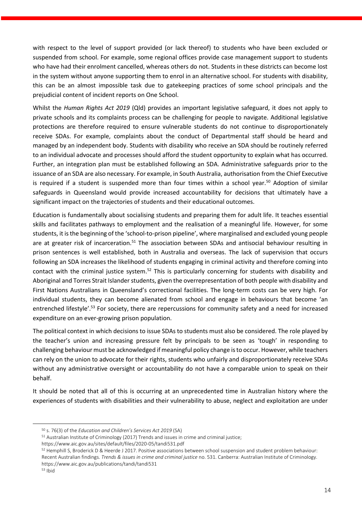with respect to the level of support provided (or lack thereof) to students who have been excluded or suspended from school. For example, some regional offices provide case management support to students who have had their enrolment cancelled, whereas others do not. Students in these districts can become lost in the system without anyone supporting them to enrol in an alternative school. For students with disability, this can be an almost impossible task due to gatekeeping practices of some school principals and the prejudicial content of incident reports on One School.

Whilst the *Human Rights Act 2019* (Qld) provides an important legislative safeguard, it does not apply to private schools and its complaints process can be challenging for people to navigate. Additional legislative protections are therefore required to ensure vulnerable students do not continue to disproportionately receive SDAs. For example, complaints about the conduct of Departmental staff should be heard and managed by an independent body. Students with disability who receive an SDA should be routinely referred to an individual advocate and processes should afford the student opportunity to explain what has occurred. Further, an integration plan must be established following an SDA. Administrative safeguards prior to the issuance of an SDA are also necessary. For example, in South Australia, authorisation from the Chief Executive is required if a student is suspended more than four times within a school year.<sup>50</sup> Adoption of similar safeguards in Queensland would provide increased accountability for decisions that ultimately have a significant impact on the trajectories of students and their educational outcomes.

Education is fundamentally about socialising students and preparing them for adult life. It teaches essential skills and facilitates pathways to employment and the realisation of a meaningful life. However, for some students, it is the beginning of the 'school-to-prison pipeline', where marginalised and excluded young people are at greater risk of incarceration.<sup>51</sup> The association between SDAs and antisocial behaviour resulting in prison sentences is well established, both in Australia and overseas. The lack of supervision that occurs following an SDA increases the likelihood of students engaging in criminal activity and therefore coming into contact with the criminal justice system.<sup>52</sup> This is particularly concerning for students with disability and Aboriginal and Torres Strait Islander students, given the overrepresentation of both people with disability and First Nations Australians in Queensland's correctional facilities. The long-term costs can be very high. For individual students, they can become alienated from school and engage in behaviours that become 'an entrenched lifestyle'.<sup>53</sup> For society, there are repercussions for community safety and a need for increased expenditure on an ever-growing prison population.

The political context in which decisions to issue SDAs to students must also be considered. The role played by the teacher's union and increasing pressure felt by principals to be seen as 'tough' in responding to challenging behaviour must be acknowledged if meaningful policy change is to occur. However, while teachers can rely on the union to advocate for their rights, students who unfairly and disproportionately receive SDAs without any administrative oversight or accountability do not have a comparable union to speak on their behalf.

It should be noted that all of this is occurring at an unprecedented time in Australian history where the experiences of students with disabilities and their vulnerability to abuse, neglect and exploitation are under

https://www.aic.gov.au/sites/default/files/2020-05/tandi531.pdf

<sup>50</sup> s. 76(3) of the *Education and Children's Services Act 2019* (SA)

<sup>51</sup> Australian Institute of Criminology (2017) Trends and issues in crime and criminal justice;

<sup>52</sup> Hemphill S, Broderick D & Heerde J 2017. Positive associations between school suspension and student problem behaviour: Recent Australian findings. *Trends & issues in crime and criminal justice* no. 531. Canberra: Australian Institute of Criminology. https://www.aic.gov.au/publications/tandi/tandi531

<sup>53</sup> Ibid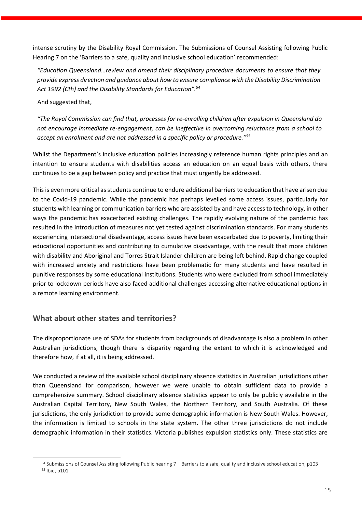intense scrutiny by the Disability Royal Commission. The Submissions of Counsel Assisting following Public Hearing 7 on the 'Barriers to a safe, quality and inclusive school education' recommended:

*"Education Queensland…review and amend their disciplinary procedure documents to ensure that they provide express direction and guidance about how to ensure compliance with the Disability Discrimination Act 1992 (Cth) and the Disability Standards for Education". 54*

And suggested that,

*"The Royal Commission can find that, processes for re-enrolling children after expulsion in Queensland do not encourage immediate re-engagement, can be ineffective in overcoming reluctance from a school to accept an enrolment and are not addressed in a specific policy or procedure." 55*

Whilst the Department's inclusive education policies increasingly reference human rights principles and an intention to ensure students with disabilities access an education on an equal basis with others, there continues to be a gap between policy and practice that must urgently be addressed.

This is even more critical as students continue to endure additional barriers to education that have arisen due to the Covid-19 pandemic. While the pandemic has perhaps levelled some access issues, particularly for students with learning or communication barriers who are assisted by and have access to technology, in other ways the pandemic has exacerbated existing challenges. The rapidly evolving nature of the pandemic has resulted in the introduction of measures not yet tested against discrimination standards. For many students experiencing intersectional disadvantage, access issues have been exacerbated due to poverty, limiting their educational opportunities and contributing to cumulative disadvantage, with the result that more children with disability and Aboriginal and Torres Strait Islander children are being left behind. Rapid change coupled with increased anxiety and restrictions have been problematic for many students and have resulted in punitive responses by some educational institutions. Students who were excluded from school immediately prior to lockdown periods have also faced additional challenges accessing alternative educational options in a remote learning environment.

## **What about other states and territories?**

The disproportionate use of SDAs for students from backgrounds of disadvantage is also a problem in other Australian jurisdictions, though there is disparity regarding the extent to which it is acknowledged and therefore how, if at all, it is being addressed.

We conducted a review of the available school disciplinary absence statistics in Australian jurisdictions other than Queensland for comparison, however we were unable to obtain sufficient data to provide a comprehensive summary. School disciplinary absence statistics appear to only be publicly available in the Australian Capital Territory, New South Wales, the Northern Territory, and South Australia. Of these jurisdictions, the only jurisdiction to provide some demographic information is New South Wales. However, the information is limited to schools in the state system. The other three jurisdictions do not include demographic information in their statistics. Victoria publishes expulsion statistics only. These statistics are

<sup>54</sup> Submissions of Counsel Assisting following Public hearing 7 – Barriers to a safe, quality and inclusive school education, p103 <sup>55</sup> Ibid, p101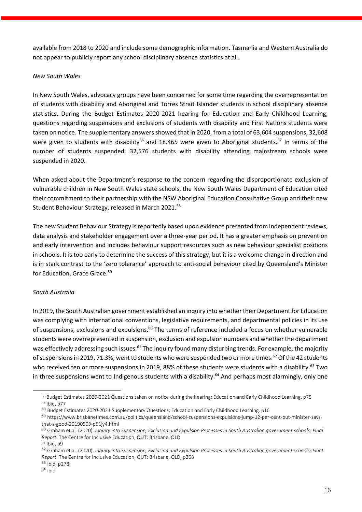available from 2018 to 2020 and include some demographic information. Tasmania and Western Australia do not appear to publicly report any school disciplinary absence statistics at all.

#### *New South Wales*

In New South Wales, advocacy groups have been concerned for some time regarding the overrepresentation of students with disability and Aboriginal and Torres Strait Islander students in school disciplinary absence statistics. During the Budget Estimates 2020-2021 hearing for Education and Early Childhood Learning, questions regarding suspensions and exclusions of students with disability and First Nations students were taken on notice. The supplementary answers showed that in 2020, from a total of 63,604 suspensions, 32,608 were given to students with disability<sup>56</sup> and 18.465 were given to Aboriginal students.<sup>57</sup> In terms of the number of students suspended, 32,576 students with disability attending mainstream schools were suspended in 2020.

When asked about the Department's response to the concern regarding the disproportionate exclusion of vulnerable children in New South Wales state schools, the New South Wales Department of Education cited their commitment to their partnership with the NSW Aboriginal Education Consultative Group and their new Student Behaviour Strategy, released in March 2021.<sup>58</sup>

The new Student Behaviour Strategy is reportedly based upon evidence presented from independent reviews, data analysis and stakeholder engagement over a three-year period. It has a greater emphasis on prevention and early intervention and includes behaviour support resources such as new behaviour specialist positions in schools. It is too early to determine the success of this strategy, but it is a welcome change in direction and is in stark contrast to the 'zero tolerance' approach to anti-social behaviour cited by Queensland's Minister for Education, Grace Grace.<sup>59</sup>

#### *South Australia*

In 2019, the South Australian government established an inquiry into whether their Department for Education was complying with international conventions, legislative requirements, and departmental policies in its use of suspensions, exclusions and expulsions.<sup>60</sup> The terms of reference included a focus on whether vulnerable students were overrepresented in suspension, exclusion and expulsion numbers and whether the department was effectively addressing such issues.<sup>61</sup> The inquiry found many disturbing trends. For example, the majority of suspensions in 2019, 71.3%, went to students who were suspended two or more times. <sup>62</sup> Of the 42 students who received ten or more suspensions in 2019, 88% of these students were students with a disability.<sup>63</sup> Two in three suspensions went to Indigenous students with a disability.<sup>64</sup> And perhaps most alarmingly, only one

<sup>56</sup> Budget Estimates 2020-2021 Questions taken on notice during the hearing; Education and Early Childhood Learning, p75 <sup>57</sup> Ibid, p77

<sup>58</sup> Budget Estimates 2020-2021 Supplementary Questions; Education and Early Childhood Learning, p16

<sup>59</sup> https://www.brisbanetimes.com.au/politics/queensland/school-suspensions-expulsions-jump-12-per-cent-but-minister-saysthat-s-good-20190503-p51jy4.html

<sup>60</sup> Graham et al. (2020). *Inquiry into Suspension, Exclusion and Expulsion Processes in South Australian government schools: Final Report*. The Centre for Inclusive Education, QUT: Brisbane, QLD

 $61$  Ibid, p9

<sup>62</sup> Graham et al. (2020). *Inquiry into Suspension, Exclusion and Expulsion Processes in South Australian government schools: Final Report*. The Centre for Inclusive Education, QUT: Brisbane, QLD, p268

<sup>63</sup> Ibid, p278

<sup>64</sup> Ibid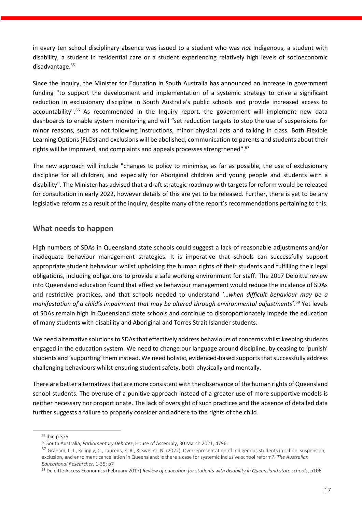in every ten school disciplinary absence was issued to a student who was *not* Indigenous, a student with disability, a student in residential care or a student experiencing relatively high levels of socioeconomic disadvantage.<sup>65</sup>

Since the inquiry, the Minister for Education in South Australia has announced an increase in government funding "to support the development and implementation of a systemic strategy to drive a significant reduction in exclusionary discipline in South Australia's public schools and provide increased access to accountability".<sup>66</sup> As recommended in the Inquiry report, the government will implement new data dashboards to enable system monitoring and will "set reduction targets to stop the use of suspensions for minor reasons, such as not following instructions, minor physical acts and talking in class. Both Flexible Learning Options (FLOs) and exclusions will be abolished, communication to parents and students about their rights will be improved, and complaints and appeals processes strengthened".<sup>67</sup>

The new approach will include "changes to policy to minimise, as far as possible, the use of exclusionary discipline for all children, and especially for Aboriginal children and young people and students with a disability". The Minister has advised that a draft strategic roadmap with targets for reform would be released for consultation in early 2022, however details of this are yet to be released. Further, there is yet to be any legislative reform as a result of the inquiry, despite many of the report's recommendations pertaining to this.

### **What needs to happen**

High numbers of SDAs in Queensland state schools could suggest a lack of reasonable adjustments and/or inadequate behaviour management strategies. It is imperative that schools can successfully support appropriate student behaviour whilst upholding the human rights of their students and fulfilling their legal obligations, including obligations to provide a safe working environment for staff. The 2017 Deloitte review into Queensland education found that effective behaviour management would reduce the incidence of SDAs and restrictive practices, and that schools needed to understand '…*when difficult behaviour may be a manifestation of a child's impairment that may be altered through environmental adjustments'*. <sup>68</sup> Yet levels of SDAs remain high in Queensland state schools and continue to disproportionately impede the education of many students with disability and Aboriginal and Torres Strait Islander students.

We need alternative solutions to SDAs that effectively address behaviours of concerns whilst keeping students engaged in the education system. We need to change our language around discipline, by ceasing to 'punish' students and 'supporting' them instead. We need holistic, evidenced-based supports that successfully address challenging behaviours whilst ensuring student safety, both physically and mentally.

There are better alternatives that are more consistent with the observance of the human rights of Queensland school students. The overuse of a punitive approach instead of a greater use of more supportive models is neither necessary nor proportionate. The lack of oversight of such practices and the absence of detailed data further suggests a failure to properly consider and adhere to the rights of the child.

<sup>65</sup> Ibid p 375

<sup>66</sup> South Australia, *Parliamentary Debates*, House of Assembly, 30 March 2021, 4796.

<sup>67</sup> Graham, L. J., Killingly, C., Laurens, K. R., & Sweller, N. (2022). Overrepresentation of Indigenous students in school suspension, exclusion, and enrolment cancellation in Queensland: is there a case for systemic inclusive school reform?. *The Australian Educational Researcher*, 1-35; p7

<sup>68</sup> Deloitte Access Economics (February 2017) *Review of education for students with disability in Queensland state schools*, p106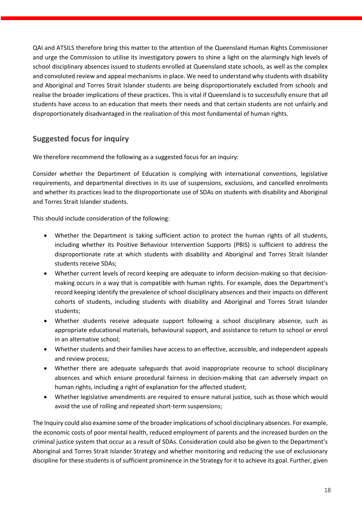QAI and ATSILS therefore bring this matter to the attention of the Queensland Human Rights Commissioner and urge the Commission to utilise its investigatory powers to shine a light on the alarmingly high levels of school disciplinary absences issued to students enrolled at Queensland state schools, as well as the complex and convoluted review and appeal mechanisms in place. We need to understand why students with disability and Aboriginal and Torres Strait Islander students are being disproportionately excluded from schools and realise the broader implications of these practices. This is vital if Queensland is to successfully ensure that *all* students have access to an education that meets their needs and that certain students are not unfairly and disproportionately disadvantaged in the realisation of this most fundamental of human rights.

## **Suggested focus for inquiry**

We therefore recommend the following as a suggested focus for an inquiry:

Consider whether the Department of Education is complying with international conventions, legislative requirements, and departmental directives in its use of suspensions, exclusions, and cancelled enrolments and whether its practices lead to the disproportionate use of SDAs on students with disability and Aboriginal and Torres Strait Islander students.

This should include consideration of the following:

- Whether the Department is taking sufficient action to protect the human rights of all students, including whether its Positive Behaviour Intervention Supports (PBIS) is sufficient to address the disproportionate rate at which students with disability and Aboriginal and Torres Strait Islander students receive SDAs;
- Whether current levels of record keeping are adequate to inform decision-making so that decisionmaking occurs in a way that is compatible with human rights. For example, does the Department's record keeping identify the prevalence of school disciplinary absences and their impacts on different cohorts of students, including students with disability and Aboriginal and Torres Strait Islander students;
- Whether students receive adequate support following a school disciplinary absence, such as appropriate educational materials, behavioural support, and assistance to return to school or enrol in an alternative school;
- Whether students and their families have access to an effective, accessible, and independent appeals and review process;
- Whether there are adequate safeguards that avoid inappropriate recourse to school disciplinary absences and which ensure procedural fairness in decision-making that can adversely impact on human rights, including a right of explanation for the affected student;
- Whether legislative amendments are required to ensure natural justice, such as those which would avoid the use of rolling and repeated short-term suspensions;

The Inquiry could also examine some of the broader implications of school disciplinary absences. For example, the economic costs of poor mental health, reduced employment of parents and the increased burden on the criminal justice system that occur as a result of SDAs. Consideration could also be given to the Department's Aboriginal and Torres Strait Islander Strategy and whether monitoring and reducing the use of exclusionary discipline for these students is of sufficient prominence in the Strategy for it to achieve its goal. Further, given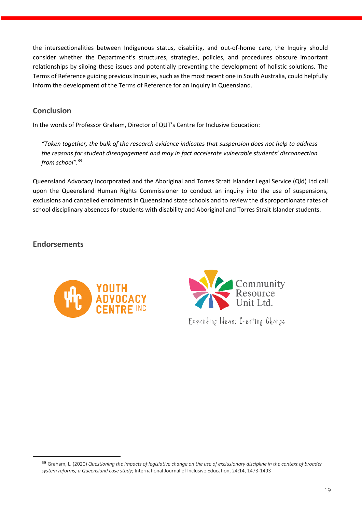the intersectionalities between Indigenous status, disability, and out-of-home care, the Inquiry should consider whether the Department's structures, strategies, policies, and procedures obscure important relationships by siloing these issues and potentially preventing the development of holistic solutions. The Terms of Reference guiding previous Inquiries, such as the most recent one in South Australia, could helpfully inform the development of the Terms of Reference for an Inquiry in Queensland.

## **Conclusion**

In the words of Professor Graham, Director of QUT's Centre for Inclusive Education:

*"Taken together, the bulk of the research evidence indicates that suspension does not help to address the reasons for student disengagement and may in fact accelerate vulnerable students' disconnection from school". 69*

Queensland Advocacy Incorporated and the Aboriginal and Torres Strait Islander Legal Service (Qld) Ltd call upon the Queensland Human Rights Commissioner to conduct an inquiry into the use of suspensions, exclusions and cancelled enrolments in Queensland state schools and to review the disproportionate rates of school disciplinary absences for students with disability and Aboriginal and Torres Strait Islander students.

# **Endorsements**





Expanding Ideas; Creating Change

<sup>69</sup> Graham, L. (2020) *Questioning the impacts of legislative change on the use of exclusionary discipline in the context of broader system reforms; a Queensland case study*; International Journal of Inclusive Education, 24:14, 1473-1493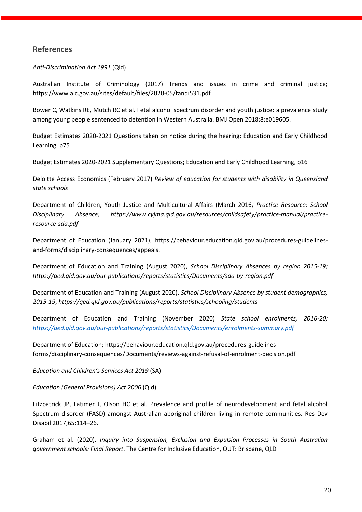## **References**

#### *Anti-Discrimination Act 1991* (Qld)

Australian Institute of Criminology (2017) Trends and issues in crime and criminal justice; https://www.aic.gov.au/sites/default/files/2020-05/tandi531.pdf

Bower C, Watkins RE, Mutch RC et al. Fetal alcohol spectrum disorder and youth justice: a prevalence study among young people sentenced to detention in Western Australia. BMJ Open 2018;8:e019605.

Budget Estimates 2020-2021 Questions taken on notice during the hearing; Education and Early Childhood Learning, p75

Budget Estimates 2020-2021 Supplementary Questions; Education and Early Childhood Learning, p16

Deloitte Access Economics (February 2017) *Review of education for students with disability in Queensland state schools*

Department of Children, Youth Justice and Multicultural Affairs (March 2016*) Practice Resource: School Disciplinary Absence; https://www.cyjma.qld.gov.au/resources/childsafety/practice-manual/practiceresource-sda.pdf*

Department of Education (January 2021); https://behaviour.education.qld.gov.au/procedures-guidelinesand-forms/disciplinary-consequences/appeals.

Department of Education and Training (August 2020), *School Disciplinary Absences by region 2015-19; https://qed.qld.gov.au/our-publications/reports/statistics/Documents/sda-by-region.pdf*

Department of Education and Training (August 2020), *School Disciplinary Absence by student demographics, 2015-19*, *https://qed.qld.gov.au/publications/reports/statistics/schooling/students*

Department of Education and Training (November 2020) *State school enrolments, 2016-20; <https://qed.qld.gov.au/our-publications/reports/statistics/Documents/enrolments-summary.pdf>*

Department of Education; https://behaviour.education.qld.gov.au/procedures-guidelinesforms/disciplinary-consequences/Documents/reviews-against-refusal-of-enrolment-decision.pdf

*Education and Children's Services Act 2019* (SA)

*Education (General Provisions) Act 2006* (Qld)

Fitzpatrick JP, Latimer J, Olson HC et al. Prevalence and profile of neurodevelopment and fetal alcohol Spectrum disorder (FASD) amongst Australian aboriginal children living in remote communities. Res Dev Disabil 2017;65:114–26.

Graham et al. (2020). *Inquiry into Suspension, Exclusion and Expulsion Processes in South Australian government schools: Final Report*. The Centre for Inclusive Education, QUT: Brisbane, QLD